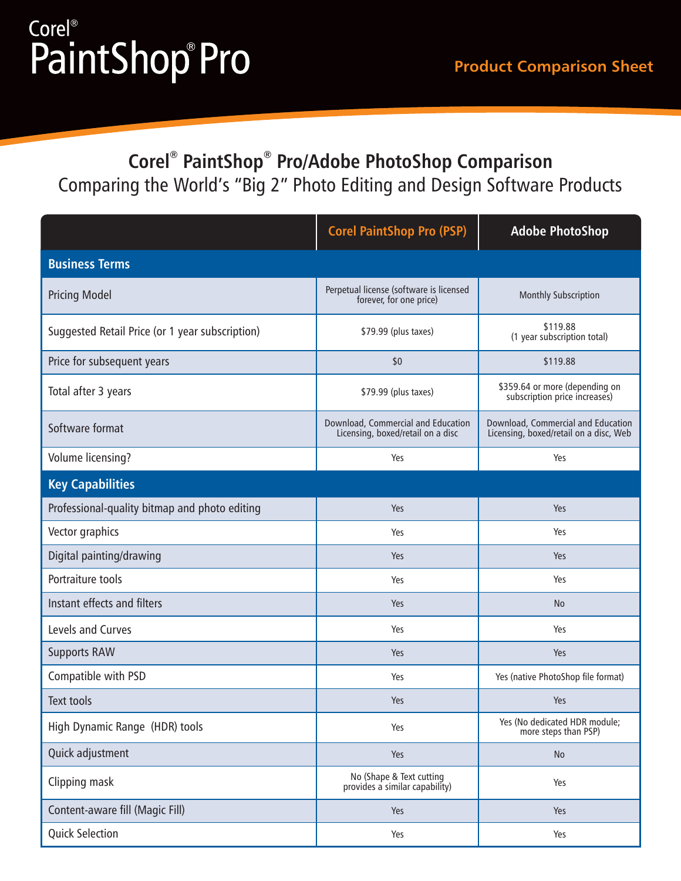#### **Product Comparison Sheet**

## Corel<sup>®</sup> PaintShop®Pro

### **® ® Corel PaintShop Pro/Adobe PhotoShop Comparison** Comparing the World's "Big 2" Photo Editing and Design Software Products

|                                                 | <b>Corel PaintShop Pro (PSP)</b>                                        | <b>Adobe PhotoShop</b>                                                       |
|-------------------------------------------------|-------------------------------------------------------------------------|------------------------------------------------------------------------------|
| <b>Business Terms</b>                           |                                                                         |                                                                              |
| <b>Pricing Model</b>                            | Perpetual license (software is licensed<br>forever, for one price)      | Monthly Subscription                                                         |
| Suggested Retail Price (or 1 year subscription) | \$79.99 (plus taxes)                                                    | \$119.88<br>(1 year subscription total)                                      |
| Price for subsequent years                      | \$0                                                                     | \$119.88                                                                     |
| Total after 3 years                             | \$79.99 (plus taxes)                                                    | \$359.64 or more (depending on<br>subscription price increases)              |
| Software format                                 | Download, Commercial and Education<br>Licensing, boxed/retail on a disc | Download, Commercial and Education<br>Licensing, boxed/retail on a disc, Web |
| Volume licensing?                               | Yes                                                                     | Yes                                                                          |
| <b>Key Capabilities</b>                         |                                                                         |                                                                              |
| Professional-quality bitmap and photo editing   | Yes                                                                     | Yes                                                                          |
| Vector graphics                                 | Yes                                                                     | Yes                                                                          |
| Digital painting/drawing                        | Yes                                                                     | Yes                                                                          |
| Portraiture tools                               | Yes                                                                     | Yes                                                                          |
| Instant effects and filters                     | Yes                                                                     | <b>No</b>                                                                    |
| Levels and Curves                               | Yes                                                                     | Yes                                                                          |
| <b>Supports RAW</b>                             | Yes                                                                     | Yes                                                                          |
| Compatible with PSD                             | Yes                                                                     | Yes (native PhotoShop file format)                                           |
| <b>Text tools</b>                               | Yes                                                                     | Yes                                                                          |
| High Dynamic Range (HDR) tools                  | Yes                                                                     | Yes (No dedicated HDR module;<br>more steps than PSP)                        |
| Quick adjustment                                | Yes                                                                     | No                                                                           |
| Clipping mask                                   | No (Shape & Text cutting<br>provides a similar capability)              | Yes                                                                          |
| Content-aware fill (Magic Fill)                 | Yes                                                                     | Yes                                                                          |
| <b>Quick Selection</b>                          | Yes                                                                     | Yes                                                                          |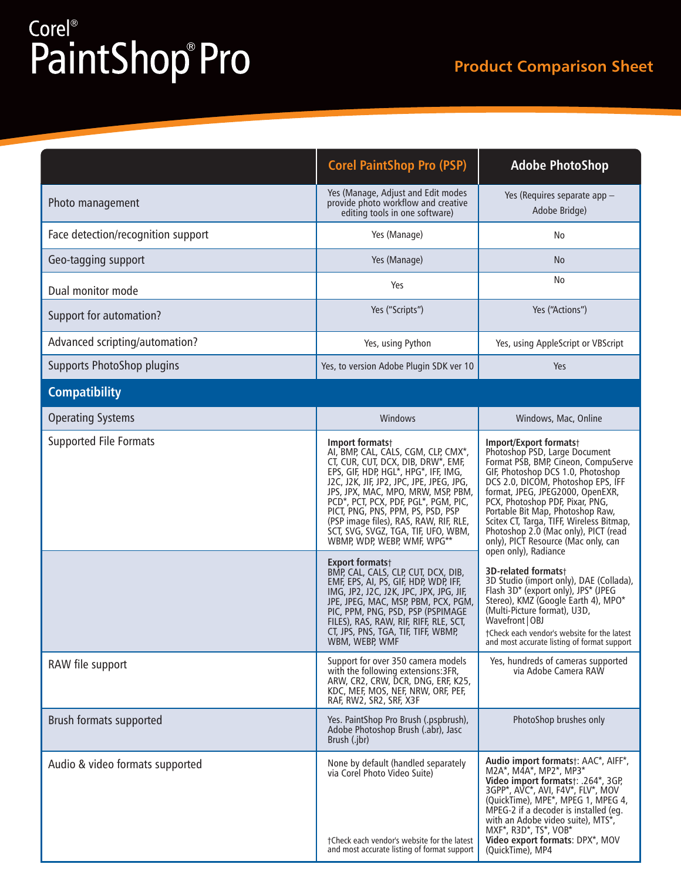# Corel<sup>®</sup><br>PaintShop® Pro

|                                    | <b>Corel PaintShop Pro (PSP)</b>                                                                                                                                                                                                                                                                                                                                                                                                                                                                                                                                                                                                                                                                                                                         | <b>Adobe PhotoShop</b>                                                                                                                                                                                                                                                                                                                                                                                                                                                                                                                                                                                                                                                                                                                   |
|------------------------------------|----------------------------------------------------------------------------------------------------------------------------------------------------------------------------------------------------------------------------------------------------------------------------------------------------------------------------------------------------------------------------------------------------------------------------------------------------------------------------------------------------------------------------------------------------------------------------------------------------------------------------------------------------------------------------------------------------------------------------------------------------------|------------------------------------------------------------------------------------------------------------------------------------------------------------------------------------------------------------------------------------------------------------------------------------------------------------------------------------------------------------------------------------------------------------------------------------------------------------------------------------------------------------------------------------------------------------------------------------------------------------------------------------------------------------------------------------------------------------------------------------------|
| Photo management                   | Yes (Manage, Adjust and Edit modes<br>provide photo workflow and creative<br>editing tools in one software)                                                                                                                                                                                                                                                                                                                                                                                                                                                                                                                                                                                                                                              | Yes (Requires separate app -<br>Adobe Bridge)                                                                                                                                                                                                                                                                                                                                                                                                                                                                                                                                                                                                                                                                                            |
| Face detection/recognition support | Yes (Manage)                                                                                                                                                                                                                                                                                                                                                                                                                                                                                                                                                                                                                                                                                                                                             | No                                                                                                                                                                                                                                                                                                                                                                                                                                                                                                                                                                                                                                                                                                                                       |
| Geo-tagging support                | Yes (Manage)                                                                                                                                                                                                                                                                                                                                                                                                                                                                                                                                                                                                                                                                                                                                             | No                                                                                                                                                                                                                                                                                                                                                                                                                                                                                                                                                                                                                                                                                                                                       |
| Dual monitor mode                  | Yes                                                                                                                                                                                                                                                                                                                                                                                                                                                                                                                                                                                                                                                                                                                                                      | No                                                                                                                                                                                                                                                                                                                                                                                                                                                                                                                                                                                                                                                                                                                                       |
| Support for automation?            | Yes ("Scripts")                                                                                                                                                                                                                                                                                                                                                                                                                                                                                                                                                                                                                                                                                                                                          | Yes ("Actions")                                                                                                                                                                                                                                                                                                                                                                                                                                                                                                                                                                                                                                                                                                                          |
| Advanced scripting/automation?     | Yes, using Python                                                                                                                                                                                                                                                                                                                                                                                                                                                                                                                                                                                                                                                                                                                                        | Yes, using AppleScript or VBScript                                                                                                                                                                                                                                                                                                                                                                                                                                                                                                                                                                                                                                                                                                       |
| Supports PhotoShop plugins         | Yes, to version Adobe Plugin SDK ver 10                                                                                                                                                                                                                                                                                                                                                                                                                                                                                                                                                                                                                                                                                                                  | Yes                                                                                                                                                                                                                                                                                                                                                                                                                                                                                                                                                                                                                                                                                                                                      |
| <b>Compatibility</b>               |                                                                                                                                                                                                                                                                                                                                                                                                                                                                                                                                                                                                                                                                                                                                                          |                                                                                                                                                                                                                                                                                                                                                                                                                                                                                                                                                                                                                                                                                                                                          |
| <b>Operating Systems</b>           | Windows                                                                                                                                                                                                                                                                                                                                                                                                                                                                                                                                                                                                                                                                                                                                                  | Windows, Mac, Online                                                                                                                                                                                                                                                                                                                                                                                                                                                                                                                                                                                                                                                                                                                     |
| <b>Supported File Formats</b>      | Import formats+<br>AI, BMP, CAL, CALS, CGM, CLP, CMX*,<br>CT, CUR, CUT, DCX, DIB, DRW*, EMF,<br>EPS, GIF, HDP, HGL*, HPG*, IFF, IMG,<br>J2C, J2K, JIF, JP2, JPC, JPE, JPEG, JPG,<br>JPS, JPX, MAC, MPO, MRW, MSP, PBM,<br>PCD*, PCT, PCX, PDF, PGL*, PGM, PIC,<br>PICT, PNG, PNS, PPM, PS, PSD, PSP<br>(PSP image files), RAS, RAW, RIF, RLE,<br>SCT, SVG, SVGZ, TGA, TIF, UFO, WBM,<br>WBMP, WDP, WEBP, WMF, WPG**<br><b>Export formats</b> †<br>BMP, CAL, CALS, CLP, CUT, DCX, DIB,<br>EMF, EPS, AI, PS, GIF, HDP, WDP, IFF,<br>IMG, JP2, J2C, J2K, JPC, JPX, JPG, JIF,<br>JPE, JPEG, MAC, MSP, PBM, PCX, PGM,<br>PIC, PPM, PNG, PSD, PSP (PSPIMAGE<br>FILES), RAS, RAW, RIF, RIFF, RLE, SCT,<br>CT, JPS, PNS, TGA, TIF, TIFF, WBMP,<br>WBM, WEBP, WMF | Import/Export formats+<br>Photoshop PSD, Large Document<br>Format PSB, BMP, Cineon, CompuServe<br>GIF, Photoshop DCS 1.0, Photoshop<br>DCS 2.0, DICOM, Photoshop EPS, IFF<br>format, JPEG, JPEG2000, OpenEXR,<br>PCX, Photoshop PDF, Pixar, PNG,<br>Portable Bit Map, Photoshop Raw,<br>Scitex CT, Targa, TIFF, Wireless Bitmap,<br>Photoshop 2.0 (Mac only), PICT (read<br>only), PICT Resource (Mac only, can<br>open only), Radiance<br>3D-related formats+<br>3D Studio (import only), DAE (Collada),<br>Flash 3D* (export only), JPS* (JPEG<br>Stereo), KMZ (Google Earth 4), MPO*<br>(Multi-Picture format), U3D,<br>Wavefront   OBJ<br>†Check each vendor's website for the latest<br>and most accurate listing of format support |
| RAW file support                   | Support for over 350 camera models<br>with the following extensions: 3FR,<br>ARW, CR2, CRW, DCR, DNG, ERF, K25,<br>KDC, MEF, MOS, NEF, NRW, ORF, PEF,<br>RAF, RW2, SR2, SRF, X3F                                                                                                                                                                                                                                                                                                                                                                                                                                                                                                                                                                         | Yes, hundreds of cameras supported<br>via Adobe Camera RAW                                                                                                                                                                                                                                                                                                                                                                                                                                                                                                                                                                                                                                                                               |
| Brush formats supported            | Yes. PaintShop Pro Brush (.pspbrush),<br>Adobe Photoshop Brush (.abr), Jasc<br>Brush (.jbr)                                                                                                                                                                                                                                                                                                                                                                                                                                                                                                                                                                                                                                                              | PhotoShop brushes only                                                                                                                                                                                                                                                                                                                                                                                                                                                                                                                                                                                                                                                                                                                   |
| Audio & video formats supported    | None by default (handled separately<br>via Corel Photo Video Suite)<br>†Check each vendor's website for the latest<br>and most accurate listing of format support                                                                                                                                                                                                                                                                                                                                                                                                                                                                                                                                                                                        | Audio import formats <sup>†</sup> : AAC*, AIFF*,<br>M2A*, M4A*, MP2*, MP3*<br>Video import formats <sup>+</sup> : .264*, 3GP,<br>3GPP*, AVC*, AVI, F4V*, FLV*, MOV<br>(QuickTime), MPE*, MPEG 1, MPEG 4,<br>MPEG-2 if a decoder is installed (eg.<br>with an Adobe video suite), MTS*,<br>MXF*, R3D*, TS*, VOB*<br>Video export formats: DPX*, MOV<br>(QuickTime), MP4                                                                                                                                                                                                                                                                                                                                                                   |